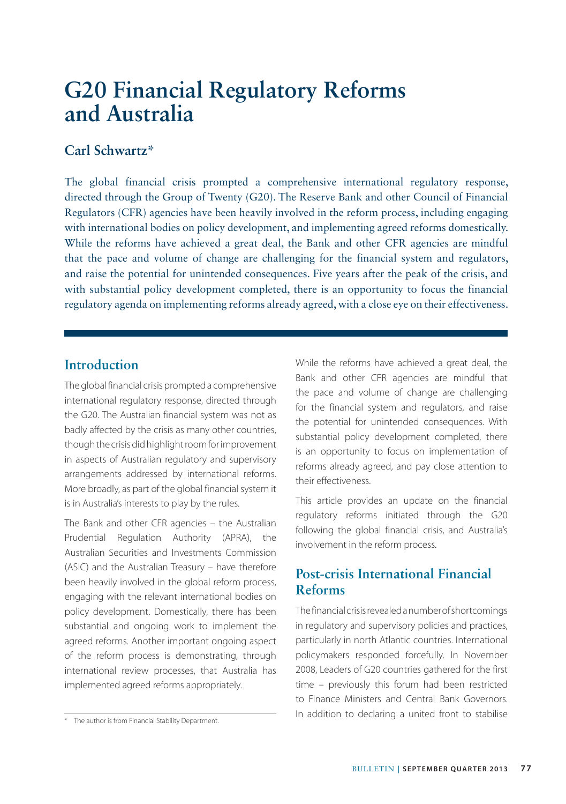## **Carl Schwartz\***

The global financial crisis prompted a comprehensive international regulatory response, directed through the Group of Twenty (G20). The Reserve Bank and other Council of Financial Regulators (CFR) agencies have been heavily involved in the reform process, including engaging with international bodies on policy development, and implementing agreed reforms domestically. While the reforms have achieved a great deal, the Bank and other CFR agencies are mindful that the pace and volume of change are challenging for the financial system and regulators, and raise the potential for unintended consequences. Five years after the peak of the crisis, and with substantial policy development completed, there is an opportunity to focus the financial regulatory agenda on implementing reforms already agreed, with a close eye on their effectiveness.

## **Introduction**

The global financial crisis prompted a comprehensive international regulatory response, directed through the G20. The Australian financial system was not as badly affected by the crisis as many other countries, though the crisis did highlight room for improvement in aspects of Australian regulatory and supervisory arrangements addressed by international reforms. More broadly, as part of the global financial system it is in Australia's interests to play by the rules.

The Bank and other CFR agencies – the Australian Prudential Regulation Authority (APRA), the Australian Securities and Investments Commission (ASIC) and the Australian Treasury – have therefore been heavily involved in the global reform process, engaging with the relevant international bodies on policy development. Domestically, there has been substantial and ongoing work to implement the agreed reforms. Another important ongoing aspect of the reform process is demonstrating, through international review processes, that Australia has implemented agreed reforms appropriately.

While the reforms have achieved a great deal, the Bank and other CFR agencies are mindful that the pace and volume of change are challenging for the financial system and regulators, and raise the potential for unintended consequences. With substantial policy development completed, there is an opportunity to focus on implementation of reforms already agreed, and pay close attention to their effectiveness.

This article provides an update on the financial regulatory reforms initiated through the G20 following the global financial crisis, and Australia's involvement in the reform process.

# **Post-crisis International Financial Reforms**

The financial crisis revealed a number of shortcomings in regulatory and supervisory policies and practices, particularly in north Atlantic countries. International policymakers responded forcefully. In November 2008, Leaders of G20 countries gathered for the first time – previously this forum had been restricted to Finance Ministers and Central Bank Governors. The author is from Financial Stability Department. The sum and dition to declaring a united front to stabilise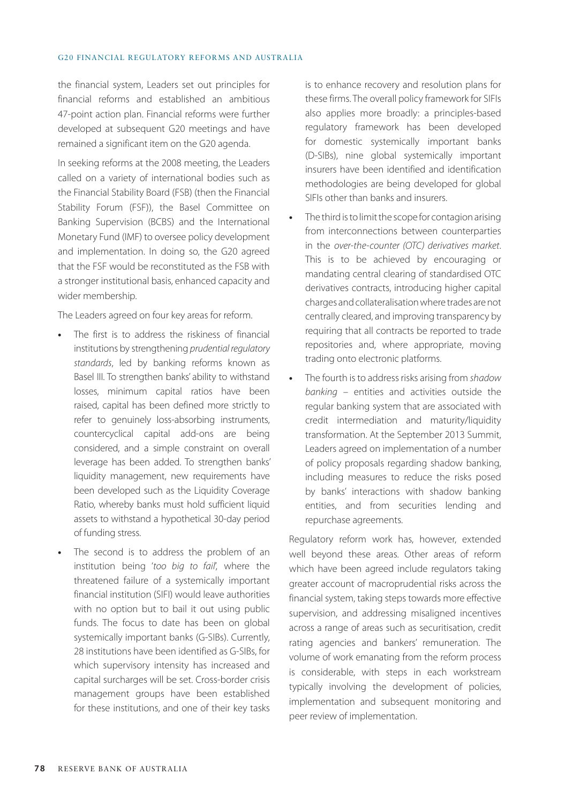the financial system, Leaders set out principles for financial reforms and established an ambitious 47-point action plan. Financial reforms were further developed at subsequent G20 meetings and have remained a significant item on the G20 agenda.

In seeking reforms at the 2008 meeting, the Leaders called on a variety of international bodies such as the Financial Stability Board (FSB) (then the Financial Stability Forum (FSF)), the Basel Committee on Banking Supervision (BCBS) and the International Monetary Fund (IMF) to oversee policy development and implementation. In doing so, the G20 agreed that the FSF would be reconstituted as the FSB with a stronger institutional basis, enhanced capacity and wider membership.

The Leaders agreed on four key areas for reform.

- **•** The first is to address the riskiness of financial institutions by strengthening *prudential regulatory standards*, led by banking reforms known as Basel III. To strengthen banks' ability to withstand losses, minimum capital ratios have been raised, capital has been defined more strictly to refer to genuinely loss-absorbing instruments, countercyclical capital add-ons are being considered, and a simple constraint on overall leverage has been added. To strengthen banks' liquidity management, new requirements have been developed such as the Liquidity Coverage Ratio, whereby banks must hold sufficient liquid assets to withstand a hypothetical 30-day period of funding stress.
- **•** The second is to address the problem of an institution being '*too big to fail*', where the threatened failure of a systemically important financial institution (SIFI) would leave authorities with no option but to bail it out using public funds. The focus to date has been on global systemically important banks (G-SIBs). Currently, 28 institutions have been identified as G-SIBs, for which supervisory intensity has increased and capital surcharges will be set. Cross-border crisis management groups have been established for these institutions, and one of their key tasks

is to enhance recovery and resolution plans for these firms. The overall policy framework for SIFIs also applies more broadly: a principles-based regulatory framework has been developed for domestic systemically important banks (D-SIBs), nine global systemically important insurers have been identified and identification methodologies are being developed for global SIFIs other than banks and insurers.

- **•** The third is to limit the scope for contagion arising from interconnections between counterparties in the *over-the-counter (OTC) derivatives market*. This is to be achieved by encouraging or mandating central clearing of standardised OTC derivatives contracts, introducing higher capital charges and collateralisation where trades are not centrally cleared, and improving transparency by requiring that all contracts be reported to trade repositories and, where appropriate, moving trading onto electronic platforms.
- **•** The fourth is to address risks arising from *shadow banking* – entities and activities outside the regular banking system that are associated with credit intermediation and maturity/liquidity transformation. At the September 2013 Summit, Leaders agreed on implementation of a number of policy proposals regarding shadow banking, including measures to reduce the risks posed by banks' interactions with shadow banking entities, and from securities lending and repurchase agreements.

Regulatory reform work has, however, extended well beyond these areas. Other areas of reform which have been agreed include regulators taking greater account of macroprudential risks across the financial system, taking steps towards more effective supervision, and addressing misaligned incentives across a range of areas such as securitisation, credit rating agencies and bankers' remuneration. The volume of work emanating from the reform process is considerable, with steps in each workstream typically involving the development of policies, implementation and subsequent monitoring and peer review of implementation.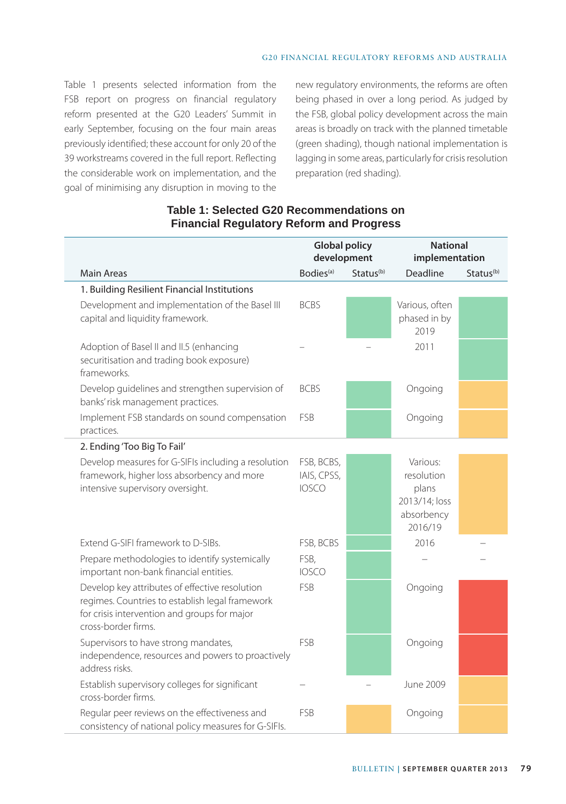Table 1 presents selected information from the FSB report on progress on financial regulatory reform presented at the G20 Leaders' Summit in early September, focusing on the four main areas previously identified; these account for only 20 of the 39 workstreams covered in the full report. Reflecting the considerable work on implementation, and the goal of minimising any disruption in moving to the new regulatory environments, the reforms are often being phased in over a long period. As judged by the FSB, global policy development across the main areas is broadly on track with the planned timetable (green shading), though national implementation is lagging in some areas, particularly for crisis resolution preparation (red shading).

|                                                                                                                                                                          | <b>Global policy</b><br>development       |                       | <b>National</b><br>implementation                                         |                       |
|--------------------------------------------------------------------------------------------------------------------------------------------------------------------------|-------------------------------------------|-----------------------|---------------------------------------------------------------------------|-----------------------|
| Main Areas                                                                                                                                                               | Bodies <sup>(a)</sup>                     | Status <sup>(b)</sup> | <b>Deadline</b>                                                           | Status <sup>(b)</sup> |
| 1. Building Resilient Financial Institutions                                                                                                                             |                                           |                       |                                                                           |                       |
| Development and implementation of the Basel III<br>capital and liquidity framework.                                                                                      | <b>BCBS</b>                               |                       | Various, often<br>phased in by<br>2019                                    |                       |
| Adoption of Basel II and II.5 (enhancing<br>securitisation and trading book exposure)<br>frameworks.                                                                     |                                           |                       | 2011                                                                      |                       |
| Develop guidelines and strengthen supervision of<br>banks' risk management practices.                                                                                    | <b>BCBS</b>                               |                       | Ongoing                                                                   |                       |
| Implement FSB standards on sound compensation<br>practices.                                                                                                              | FSB                                       |                       | Ongoing                                                                   |                       |
| 2. Ending 'Too Big To Fail'                                                                                                                                              |                                           |                       |                                                                           |                       |
| Develop measures for G-SIFIs including a resolution<br>framework, higher loss absorbency and more<br>intensive supervisory oversight.                                    | FSB, BCBS,<br>IAIS, CPSS,<br><b>IOSCO</b> |                       | Various:<br>resolution<br>plans<br>2013/14; loss<br>absorbency<br>2016/19 |                       |
| Extend G-SIFI framework to D-SIBs.                                                                                                                                       | FSB, BCBS                                 |                       | 2016                                                                      |                       |
| Prepare methodologies to identify systemically<br>important non-bank financial entities.                                                                                 | FSB,<br><b>IOSCO</b>                      |                       |                                                                           |                       |
| Develop key attributes of effective resolution<br>regimes. Countries to establish legal framework<br>for crisis intervention and groups for major<br>cross-border firms. | FSB                                       |                       | Ongoing                                                                   |                       |
| Supervisors to have strong mandates,<br>independence, resources and powers to proactively<br>address risks.                                                              | FSB                                       |                       | Ongoing                                                                   |                       |
| Establish supervisory colleges for significant<br>cross-border firms.                                                                                                    |                                           |                       | June 2009                                                                 |                       |
| Regular peer reviews on the effectiveness and<br>consistency of national policy measures for G-SIFIs.                                                                    | FSB                                       |                       | Ongoing                                                                   |                       |

## **Table 1: Selected G20 Recommendations on Financial Regulatory Reform and Progress**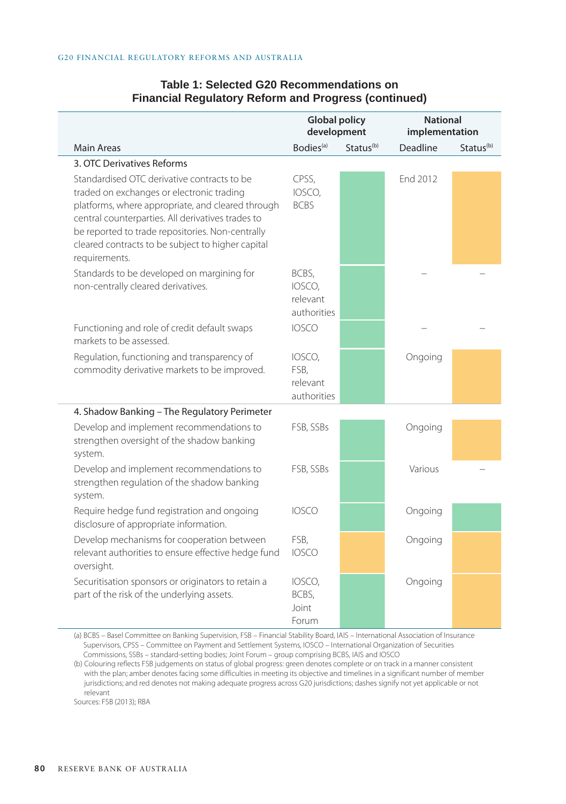### **Table 1: Selected G20 Recommendations on Financial Regulatory Reform and Progress (continued)**

|                                                                                                                                                                                                                                                                                                                              | <b>Global policy</b><br>development        |                       | <b>National</b><br>implementation |                       |
|------------------------------------------------------------------------------------------------------------------------------------------------------------------------------------------------------------------------------------------------------------------------------------------------------------------------------|--------------------------------------------|-----------------------|-----------------------------------|-----------------------|
| <b>Main Areas</b>                                                                                                                                                                                                                                                                                                            | Bodies <sup>(a)</sup>                      | Status <sup>(b)</sup> | Deadline                          | Status <sup>(b)</sup> |
| 3. OTC Derivatives Reforms                                                                                                                                                                                                                                                                                                   |                                            |                       |                                   |                       |
| Standardised OTC derivative contracts to be<br>traded on exchanges or electronic trading<br>platforms, where appropriate, and cleared through<br>central counterparties. All derivatives trades to<br>be reported to trade repositories. Non-centrally<br>cleared contracts to be subject to higher capital<br>requirements. | CPSS,<br>IOSCO,<br><b>BCBS</b>             |                       | End 2012                          |                       |
| Standards to be developed on margining for<br>non-centrally cleared derivatives.                                                                                                                                                                                                                                             | BCBS,<br>IOSCO,<br>relevant<br>authorities |                       |                                   |                       |
| Functioning and role of credit default swaps<br>markets to be assessed.                                                                                                                                                                                                                                                      | <b>IOSCO</b>                               |                       |                                   |                       |
| Regulation, functioning and transparency of<br>commodity derivative markets to be improved.                                                                                                                                                                                                                                  | IOSCO,<br>FSB,<br>relevant<br>authorities  |                       | Ongoing                           |                       |
| 4. Shadow Banking - The Regulatory Perimeter                                                                                                                                                                                                                                                                                 |                                            |                       |                                   |                       |
| Develop and implement recommendations to<br>strengthen oversight of the shadow banking<br>system.                                                                                                                                                                                                                            | FSB, SSBs                                  |                       | Ongoing                           |                       |
| Develop and implement recommendations to<br>strengthen regulation of the shadow banking<br>system.                                                                                                                                                                                                                           | FSB, SSBs                                  |                       | Various                           |                       |
| Require hedge fund registration and ongoing<br>disclosure of appropriate information.                                                                                                                                                                                                                                        | <b>IOSCO</b>                               |                       | Ongoing                           |                       |
| Develop mechanisms for cooperation between<br>relevant authorities to ensure effective hedge fund<br>oversight.                                                                                                                                                                                                              | FSB,<br><b>IOSCO</b>                       |                       | Ongoing                           |                       |
| Securitisation sponsors or originators to retain a<br>part of the risk of the underlying assets.                                                                                                                                                                                                                             | IOSCO,<br>BCBS,<br>Joint<br>Forum          |                       | Ongoing                           |                       |

(a) BCBS – Basel Committee on Banking Supervision, FSB – Financial Stability Board, IAIS – International Association of Insurance Supervisors, CPSS – Committee on Payment and Settlement Systems, IOSCO – International Organization of Securities Commissions, SSBs – standard-setting bodies; Joint Forum – group comprising BCBS, IAIS and IOSCO

(b) Colouring reflects FSB judgements on status of global progress: green denotes complete or on track in a manner consistent with the plan; amber denotes facing some difficulties in meeting its objective and timelines in a significant number of member jurisdictions; and red denotes not making adequate progress across G20 jurisdictions; dashes signify not yet applicable or not relevant

Sources: FSB (2013); RBA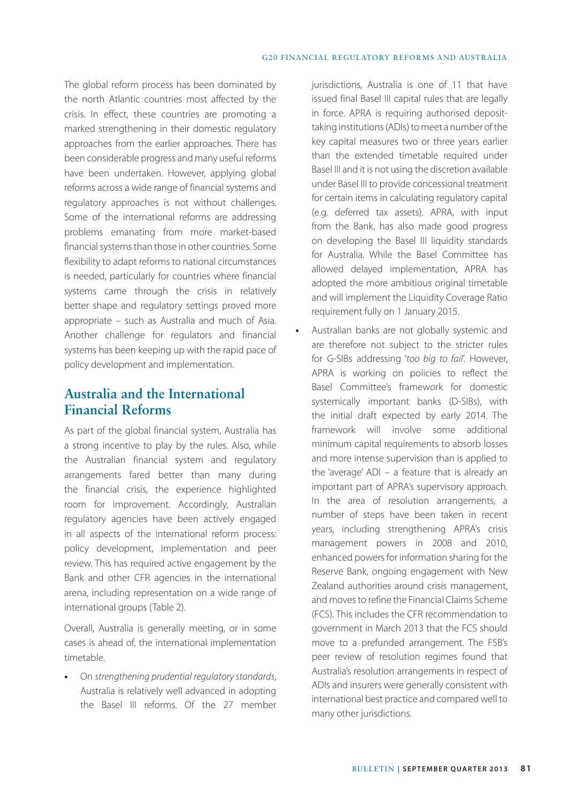The global reform process has been dominated by the north Atlantic countries most affected by the crisis. In effect, these countries are promoting a marked strengthening in their domestic regulatory approaches from the earlier approaches. There has been considerable progress and many useful reforms have been undertaken. However, applying global reforms across a wide range of financial systems and regulatory approaches is not without challenges. Some of the international reforms are addressing problems emanating from more market-based financial systems than those in other countries. Some flexibility to adapt reforms to national circumstances is needed, particularly for countries where financial systems came through the crisis in relatively better shape and regulatory settings proved more appropriate – such as Australia and much of Asia. Another challenge for regulators and financial systems has been keeping up with the rapid pace of policy development and implementation.

# **Australia and the International Financial Reforms**

As part of the global financial system, Australia has a strong incentive to play by the rules. Also, while the Australian financial system and regulatory arrangements fared better than many during the financial crisis, the experience highlighted room for improvement. Accordingly, Australian regulatory agencies have been actively engaged in all aspects of the international reform process: policy development, implementation and peer review. This has required active engagement by the Bank and other CFR agencies in the international arena, including representation on a wide range of international groups (Table 2).

Overall, Australia is generally meeting, or in some cases is ahead of, the international implementation timetable.

**•** On *strengthening prudential regulatory standards*, Australia is relatively well advanced in adopting the Basel III reforms. Of the 27 member

jurisdictions, Australia is one of 11 that have issued final Basel III capital rules that are legally in force. APRA is requiring authorised deposittaking institutions (ADIs) to meet a number of the key capital measures two or three years earlier than the extended timetable required under Basel III and it is not using the discretion available under Basel III to provide concessional treatment for certain items in calculating regulatory capital (e.g. deferred tax assets). APRA, with input from the Bank, has also made good progress on developing the Basel III liquidity standards for Australia. While the Basel Committee has allowed delayed implementation, APRA has adopted the more ambitious original timetable and will implement the Liquidity Coverage Ratio requirement fully on 1 January 2015.

**•** Australian banks are not globally systemic and are therefore not subject to the stricter rules for G-SIBs addressing '*too big to fail*'. However, APRA is working on policies to reflect the Basel Committee's framework for domestic systemically important banks (D-SIBs), with the initial draft expected by early 2014. The framework will involve some additional minimum capital requirements to absorb losses and more intense supervision than is applied to the 'average' ADI – a feature that is already an important part of APRA's supervisory approach. In the area of resolution arrangements, a number of steps have been taken in recent years, including strengthening APRA's crisis management powers in 2008 and 2010, enhanced powers for information sharing for the Reserve Bank, ongoing engagement with New Zealand authorities around crisis management, and moves to refine the Financial Claims Scheme (FCS). This includes the CFR recommendation to government in March 2013 that the FCS should move to a prefunded arrangement. The FSB's peer review of resolution regimes found that Australia's resolution arrangements in respect of ADIs and insurers were generally consistent with international best practice and compared well to many other jurisdictions.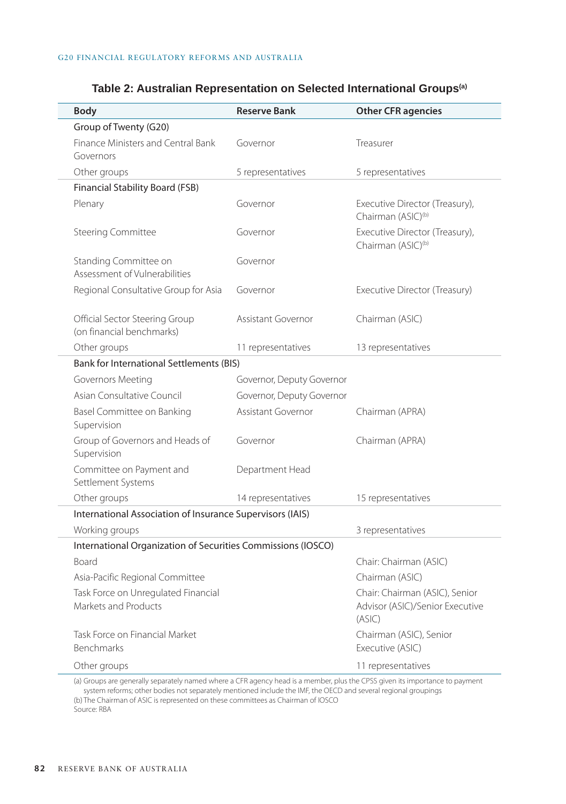| <b>Body</b>                                                  | <b>Reserve Bank</b>                             | <b>Other CFR agencies</b>                                                   |  |  |  |  |
|--------------------------------------------------------------|-------------------------------------------------|-----------------------------------------------------------------------------|--|--|--|--|
| Group of Twenty (G20)                                        |                                                 |                                                                             |  |  |  |  |
| Finance Ministers and Central Bank<br>Governors              | Governor                                        | Treasurer                                                                   |  |  |  |  |
| Other groups                                                 | 5 representatives                               | 5 representatives                                                           |  |  |  |  |
| Financial Stability Board (FSB)                              |                                                 |                                                                             |  |  |  |  |
| Plenary                                                      | Governor                                        | Executive Director (Treasury),<br>Chairman (ASIC) <sup>(b)</sup>            |  |  |  |  |
| <b>Steering Committee</b>                                    | Governor                                        | Executive Director (Treasury),<br>Chairman (ASIC) <sup>(b)</sup>            |  |  |  |  |
| Standing Committee on<br>Assessment of Vulnerabilities       | Governor                                        |                                                                             |  |  |  |  |
| Regional Consultative Group for Asia                         | Governor                                        | Executive Director (Treasury)                                               |  |  |  |  |
| Official Sector Steering Group<br>(on financial benchmarks)  | Assistant Governor                              | Chairman (ASIC)                                                             |  |  |  |  |
| Other groups                                                 | 11 representatives                              | 13 representatives                                                          |  |  |  |  |
|                                                              | <b>Bank for International Settlements (BIS)</b> |                                                                             |  |  |  |  |
| Governors Meeting                                            | Governor, Deputy Governor                       |                                                                             |  |  |  |  |
| Asian Consultative Council                                   | Governor, Deputy Governor                       |                                                                             |  |  |  |  |
| Basel Committee on Banking<br>Supervision                    | Assistant Governor                              | Chairman (APRA)                                                             |  |  |  |  |
| Group of Governors and Heads of<br>Supervision               | Governor                                        | Chairman (APRA)                                                             |  |  |  |  |
| Committee on Payment and<br>Settlement Systems               | Department Head                                 |                                                                             |  |  |  |  |
| Other groups                                                 | 14 representatives                              | 15 representatives                                                          |  |  |  |  |
| International Association of Insurance Supervisors (IAIS)    |                                                 |                                                                             |  |  |  |  |
| Working groups                                               |                                                 | 3 representatives                                                           |  |  |  |  |
| International Organization of Securities Commissions (IOSCO) |                                                 |                                                                             |  |  |  |  |
| Board                                                        |                                                 | Chair: Chairman (ASIC)                                                      |  |  |  |  |
| Asia-Pacific Regional Committee                              |                                                 | Chairman (ASIC)                                                             |  |  |  |  |
| Task Force on Unregulated Financial<br>Markets and Products  |                                                 | Chair: Chairman (ASIC), Senior<br>Advisor (ASIC)/Senior Executive<br>(ASIC) |  |  |  |  |
| Task Force on Financial Market<br>Benchmarks                 |                                                 | Chairman (ASIC), Senior<br>Executive (ASIC)                                 |  |  |  |  |
| Other groups                                                 |                                                 | 11 representatives                                                          |  |  |  |  |

### **Table 2: Australian Representation on Selected International Groups(a)**

(a) Groups are generally separately named where a CFR agency head is a member, plus the CPSS given its importance to payment system reforms; other bodies not separately mentioned include the IMF, the OECD and several regional groupings (b) The Chairman of ASIC is represented on these committees as Chairman of IOSCO

Source: RBA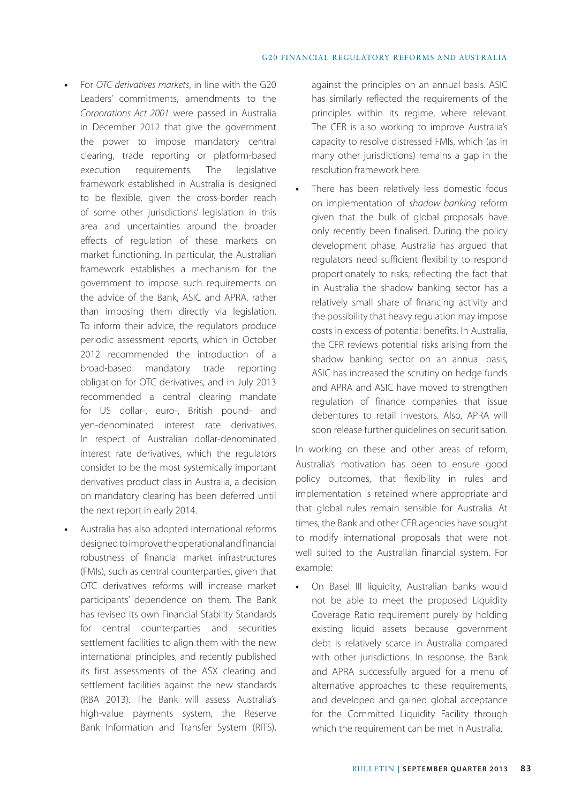- **•** For *OTC derivatives markets*, in line with the G20 Leaders' commitments, amendments to the *Corporations Act 2001* were passed in Australia in December 2012 that give the government the power to impose mandatory central clearing, trade reporting or platform-based execution requirements. The legislative framework established in Australia is designed to be flexible, given the cross-border reach of some other jurisdictions' legislation in this area and uncertainties around the broader effects of regulation of these markets on market functioning. In particular, the Australian framework establishes a mechanism for the government to impose such requirements on the advice of the Bank, ASIC and APRA, rather than imposing them directly via legislation. To inform their advice, the regulators produce periodic assessment reports, which in October 2012 recommended the introduction of a broad-based mandatory trade reporting obligation for OTC derivatives, and in July 2013 recommended a central clearing mandate for US dollar-, euro-, British pound- and yen-denominated interest rate derivatives. In respect of Australian dollar-denominated interest rate derivatives, which the regulators consider to be the most systemically important derivatives product class in Australia, a decision on mandatory clearing has been deferred until the next report in early 2014.
- **•** Australia has also adopted international reforms designed to improve the operational and financial robustness of financial market infrastructures (FMIs), such as central counterparties, given that OTC derivatives reforms will increase market participants' dependence on them. The Bank has revised its own Financial Stability Standards for central counterparties and securities settlement facilities to align them with the new international principles, and recently published its first assessments of the ASX clearing and settlement facilities against the new standards (RBA 2013). The Bank will assess Australia's high-value payments system, the Reserve Bank Information and Transfer System (RITS),

against the principles on an annual basis. ASIC has similarly reflected the requirements of the principles within its regime, where relevant. The CFR is also working to improve Australia's capacity to resolve distressed FMIs, which (as in many other jurisdictions) remains a gap in the resolution framework here.

**•** There has been relatively less domestic focus on implementation of *shadow banking* reform given that the bulk of global proposals have only recently been finalised. During the policy development phase, Australia has argued that regulators need sufficient flexibility to respond proportionately to risks, reflecting the fact that in Australia the shadow banking sector has a relatively small share of financing activity and the possibility that heavy regulation may impose costs in excess of potential benefits. In Australia, the CFR reviews potential risks arising from the shadow banking sector on an annual basis, ASIC has increased the scrutiny on hedge funds and APRA and ASIC have moved to strengthen regulation of finance companies that issue debentures to retail investors. Also, APRA will soon release further guidelines on securitisation.

In working on these and other areas of reform, Australia's motivation has been to ensure good policy outcomes, that flexibility in rules and implementation is retained where appropriate and that global rules remain sensible for Australia. At times, the Bank and other CFR agencies have sought to modify international proposals that were not well suited to the Australian financial system. For example:

**•** On Basel III liquidity, Australian banks would not be able to meet the proposed Liquidity Coverage Ratio requirement purely by holding existing liquid assets because government debt is relatively scarce in Australia compared with other jurisdictions. In response, the Bank and APRA successfully argued for a menu of alternative approaches to these requirements, and developed and gained global acceptance for the Committed Liquidity Facility through which the requirement can be met in Australia.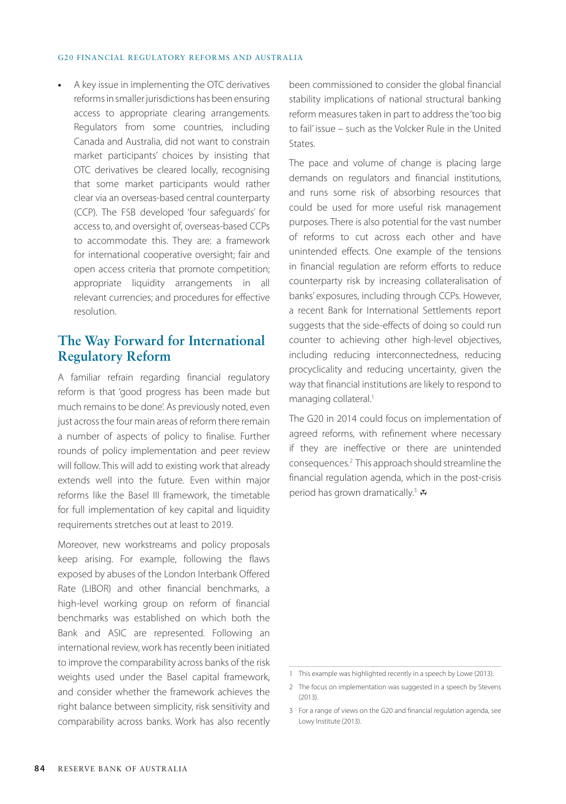**•** A key issue in implementing the OTC derivatives reforms in smaller jurisdictions has been ensuring access to appropriate clearing arrangements. Regulators from some countries, including Canada and Australia, did not want to constrain market participants' choices by insisting that OTC derivatives be cleared locally, recognising that some market participants would rather clear via an overseas-based central counterparty (CCP). The FSB developed 'four safeguards' for access to, and oversight of, overseas-based CCPs to accommodate this. They are: a framework for international cooperative oversight; fair and open access criteria that promote competition; appropriate liquidity arrangements in all relevant currencies; and procedures for effective resolution.

# **The Way Forward for International Regulatory Reform**

A familiar refrain regarding financial regulatory reform is that 'good progress has been made but much remains to be done'. As previously noted, even just across the four main areas of reform there remain a number of aspects of policy to finalise. Further rounds of policy implementation and peer review will follow. This will add to existing work that already extends well into the future. Even within major reforms like the Basel III framework, the timetable for full implementation of key capital and liquidity requirements stretches out at least to 2019.

Moreover, new workstreams and policy proposals keep arising. For example, following the flaws exposed by abuses of the London Interbank Offered Rate (LIBOR) and other financial benchmarks, a high-level working group on reform of financial benchmarks was established on which both the Bank and ASIC are represented. Following an international review, work has recently been initiated to improve the comparability across banks of the risk weights used under the Basel capital framework, and consider whether the framework achieves the right balance between simplicity, risk sensitivity and comparability across banks. Work has also recently

been commissioned to consider the global financial stability implications of national structural banking reform measures taken in part to address the 'too big to fail' issue – such as the Volcker Rule in the United States.

The pace and volume of change is placing large demands on regulators and financial institutions, and runs some risk of absorbing resources that could be used for more useful risk management purposes. There is also potential for the vast number of reforms to cut across each other and have unintended effects. One example of the tensions in financial regulation are reform efforts to reduce counterparty risk by increasing collateralisation of banks' exposures, including through CCPs. However, a recent Bank for International Settlements report suggests that the side-effects of doing so could run counter to achieving other high-level objectives, including reducing interconnectedness, reducing procyclicality and reducing uncertainty, given the way that financial institutions are likely to respond to managing collateral.<sup>1</sup>

The G20 in 2014 could focus on implementation of agreed reforms, with refinement where necessary if they are ineffective or there are unintended consequences.2 This approach should streamline the financial regulation agenda, which in the post-crisis period has grown dramatically.<sup>3</sup>  $\mathbf{\bar{x}}$ 

<sup>1</sup> This example was highlighted recently in a speech by Lowe (2013).

<sup>2</sup> The focus on implementation was suggested in a speech by Stevens (2013).

<sup>3</sup> For a range of views on the G20 and financial regulation agenda, see Lowy Institute (2013).